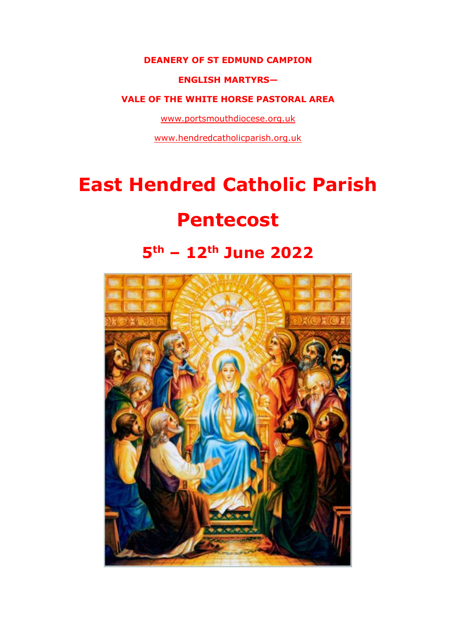#### **DEANERY OF ST EDMUND CAMPION**

#### **ENGLISH MARTYRS—**

#### **VALE OF THE WHITE HORSE PASTORAL AREA**

[www.portsmouthdiocese.org.uk](http://www.portsmouthdiocese.org.uk/)

[www.hendredcatholicparish.org.uk](http://www.hendredcatholicparish.org.uk/)

# **East Hendred Catholic Parish**

# **Pentecost**

# **5th – 12th June 2022**

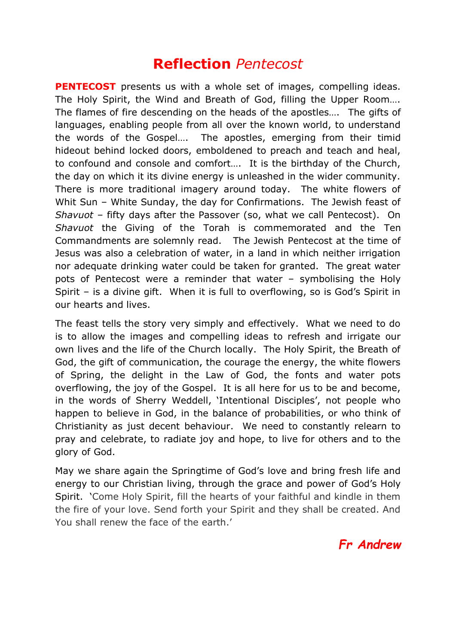## **Reflection** *Pentecost*

**PENTECOST** presents us with a whole set of images, compelling ideas. The Holy Spirit, the Wind and Breath of God, filling the Upper Room…. The flames of fire descending on the heads of the apostles….The gifts of languages, enabling people from all over the known world, to understand the words of the Gospel…. The apostles, emerging from their timid hideout behind locked doors, emboldened to preach and teach and heal, to confound and console and comfort…. It is the birthday of the Church, the day on which it its divine energy is unleashed in the wider community. There is more traditional imagery around today. The white flowers of Whit Sun – White Sunday, the day for Confirmations. The Jewish feast of *Shavuot* – fifty days after the Passover (so, what we call Pentecost). On *Shavuot* the Giving of the Torah is commemorated and the Ten Commandments are solemnly read. The Jewish Pentecost at the time of Jesus was also a celebration of water, in a land in which neither irrigation nor adequate drinking water could be taken for granted. The great water pots of Pentecost were a reminder that water – symbolising the Holy Spirit – is a divine gift. When it is full to overflowing, so is God's Spirit in our hearts and lives.

The feast tells the story very simply and effectively. What we need to do is to allow the images and compelling ideas to refresh and irrigate our own lives and the life of the Church locally. The Holy Spirit, the Breath of God, the gift of communication, the courage the energy, the white flowers of Spring, the delight in the Law of God, the fonts and water pots overflowing, the joy of the Gospel. It is all here for us to be and become, in the words of Sherry Weddell, 'Intentional Disciples', not people who happen to believe in God, in the balance of probabilities, or who think of Christianity as just decent behaviour. We need to constantly relearn to pray and celebrate, to radiate joy and hope, to live for others and to the glory of God.

May we share again the Springtime of God's love and bring fresh life and energy to our Christian living, through the grace and power of God's Holy Spirit. 'Come Holy Spirit, fill the hearts of your faithful and kindle in them the fire of your love. Send forth your Spirit and they shall be created. And You shall renew the face of the earth.'

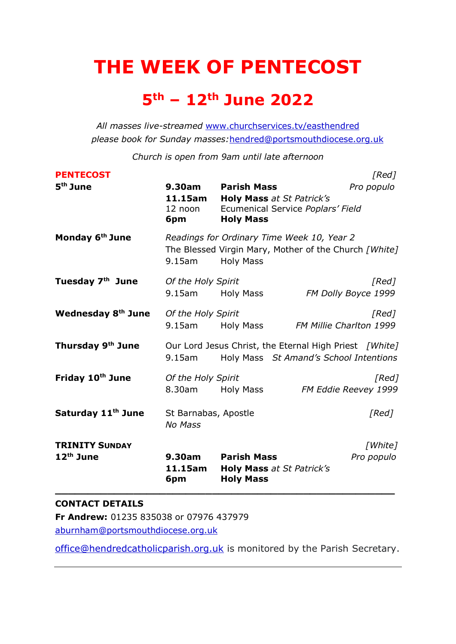# **THE WEEK OF PENTECOST**

# **5th – 12th June 2022**

*All masses live-streamed* [www.churchservices.tv/easthendred](http://www.churchservices.tv/easthendred) *please book for Sunday masses:*[hendred@portsmouthdiocese.org.uk](mailto:hendred@portsmouthdiocese.org.uk)

*Church is open from 9am until late afternoon*

| <b>TRINITY SUNDAY</b><br>$12th$ June               | <b>No Mass</b><br>$9.30$ am                          | <b>Parish Mass</b>                                   | [White]<br>Pro populo                                                                               |
|----------------------------------------------------|------------------------------------------------------|------------------------------------------------------|-----------------------------------------------------------------------------------------------------|
| Friday 10th June<br>Saturday 11 <sup>th</sup> June | Of the Holy Spirit<br>8.30am<br>St Barnabas, Apostle | Holy Mass                                            | [Red]<br>FM Eddie Reevey 1999<br>[Red]                                                              |
| Thursday 9th June                                  | 9.15am                                               |                                                      | Our Lord Jesus Christ, the Eternal High Priest [White]<br>Holy Mass St Amand's School Intentions    |
| Wednesday 8 <sup>th</sup> June                     | Of the Holy Spirit<br>9.15am                         | Holy Mass                                            | [Red]<br>FM Millie Charlton 1999                                                                    |
| Tuesday 7 <sup>th</sup> June                       | Of the Holy Spirit<br>9.15am                         | <b>Holy Mass</b>                                     | [Red]<br>FM Dolly Boyce 1999                                                                        |
| Monday 6 <sup>th</sup> June                        | $9.15$ am                                            | <b>Holy Mass</b>                                     | Readings for Ordinary Time Week 10, Year 2<br>The Blessed Virgin Mary, Mother of the Church [White] |
|                                                    | 11.15am<br>12 noon<br>6pm                            | <b>Holy Mass at St Patrick's</b><br><b>Holy Mass</b> | Ecumenical Service Poplars' Field                                                                   |
| <b>PENTECOST</b><br>5 <sup>th</sup> June           | 9.30am                                               | <b>Parish Mass</b>                                   | [Red]<br>Pro populo                                                                                 |

#### **CONTACT DETAILS**

**Fr Andrew:** 01235 835038 or 07976 437979

[aburnham@portsmouthdiocese.org.uk](mailto:aburnham@portsmouthdiocese.org.uk)

[office@hendredcatholicparish.org.uk](mailto:office@hendredcatholicparish.org.uk) is monitored by the Parish Secretary.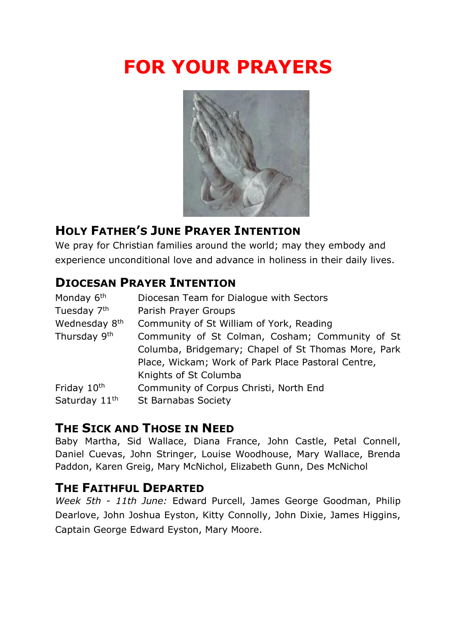# **FOR YOUR PRAYERS**



## **HOLY FATHER'S JUNE PRAYER INTENTION**

We pray for Christian families around the world; may they embody and experience unconditional love and advance in holiness in their daily lives.

### **DIOCESAN PRAYER INTENTION**

| Monday 6 <sup>th</sup>    | Diocesan Team for Dialogue with Sectors             |
|---------------------------|-----------------------------------------------------|
| Tuesday 7 <sup>th</sup>   | Parish Prayer Groups                                |
| Wednesday 8 <sup>th</sup> | Community of St William of York, Reading            |
| Thursday 9 <sup>th</sup>  | Community of St Colman, Cosham; Community of St     |
|                           | Columba, Bridgemary; Chapel of St Thomas More, Park |
|                           | Place, Wickam; Work of Park Place Pastoral Centre,  |
|                           | Knights of St Columba                               |
| Friday 10 <sup>th</sup>   | Community of Corpus Christi, North End              |
| Saturday 11 <sup>th</sup> | <b>St Barnabas Society</b>                          |
|                           |                                                     |

## **THE SICK AND THOSE IN NEED**

Baby Martha, Sid Wallace, Diana France, John Castle, Petal Connell, Daniel Cuevas, John Stringer, Louise Woodhouse, Mary Wallace, Brenda Paddon, Karen Greig, Mary McNichol, Elizabeth Gunn, Des McNichol

## **THE FAITHFUL DEPARTED**

*Week 5th - 11th June:* Edward Purcell, James George Goodman, Philip Dearlove, John Joshua Eyston, Kitty Connolly, John Dixie, James Higgins, Captain George Edward Eyston, Mary Moore.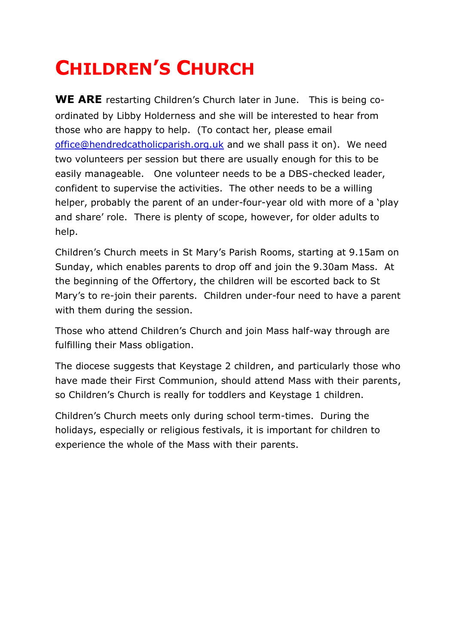# **CHILDREN'S CHURCH**

**WE ARE** restarting Children's Church later in June. This is being coordinated by Libby Holderness and she will be interested to hear from those who are happy to help. (To contact her, please email [office@hendredcatholicparish.org.uk](mailto:office@hendredcatholicparish.org.uk) and we shall pass it on). We need two volunteers per session but there are usually enough for this to be easily manageable. One volunteer needs to be a DBS-checked leader, confident to supervise the activities. The other needs to be a willing helper, probably the parent of an under-four-year old with more of a 'play and share' role. There is plenty of scope, however, for older adults to help.

Children's Church meets in St Mary's Parish Rooms, starting at 9.15am on Sunday, which enables parents to drop off and join the 9.30am Mass. At the beginning of the Offertory, the children will be escorted back to St Mary's to re-join their parents. Children under-four need to have a parent with them during the session.

Those who attend Children's Church and join Mass half-way through are fulfilling their Mass obligation.

The diocese suggests that Keystage 2 children, and particularly those who have made their First Communion, should attend Mass with their parents, so Children's Church is really for toddlers and Keystage 1 children.

Children's Church meets only during school term-times. During the holidays, especially or religious festivals, it is important for children to experience the whole of the Mass with their parents.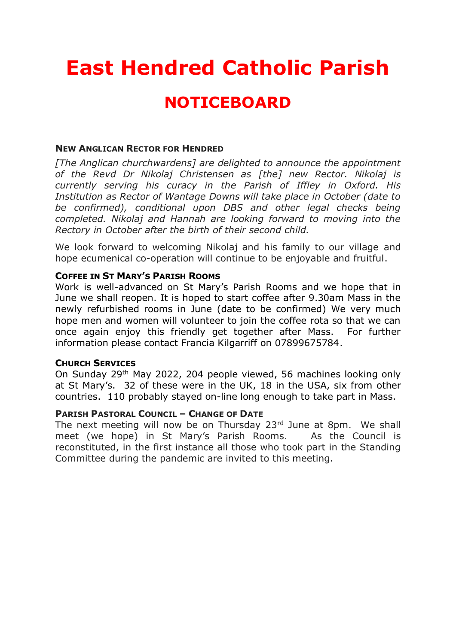# **East Hendred Catholic Parish**

# **NOTICEBOARD**

#### **NEW ANGLICAN RECTOR FOR HENDRED**

*[The Anglican churchwardens] are delighted to announce the appointment of the Revd Dr Nikolaj Christensen as [the] new Rector. Nikolaj is currently serving his curacy in the Parish of Iffley in Oxford. His Institution as Rector of Wantage Downs will take place in October (date to be confirmed), conditional upon DBS and other legal checks being completed. Nikolaj and Hannah are looking forward to moving into the Rectory in October after the birth of their second child.*

We look forward to welcoming Nikolaj and his family to our village and hope ecumenical co-operation will continue to be enjoyable and fruitful.

#### **COFFEE IN ST MARY'S PARISH ROOMS**

Work is well-advanced on St Mary's Parish Rooms and we hope that in June we shall reopen. It is hoped to start coffee after 9.30am Mass in the newly refurbished rooms in June (date to be confirmed) We very much hope men and women will volunteer to join the coffee rota so that we can once again enjoy this friendly get together after Mass. For further information please contact Francia Kilgarriff on 07899675784.

#### **CHURCH SERVICES**

On Sunday 29<sup>th</sup> May 2022, 204 people viewed, 56 machines looking only at St Mary's. 32 of these were in the UK, 18 in the USA, six from other countries. 110 probably stayed on-line long enough to take part in Mass.

#### **PARISH PASTORAL COUNCIL – CHANGE OF DATE**

The next meeting will now be on Thursday 23rd June at 8pm. We shall meet (we hope) in St Mary's Parish Rooms. As the Council is reconstituted, in the first instance all those who took part in the Standing Committee during the pandemic are invited to this meeting.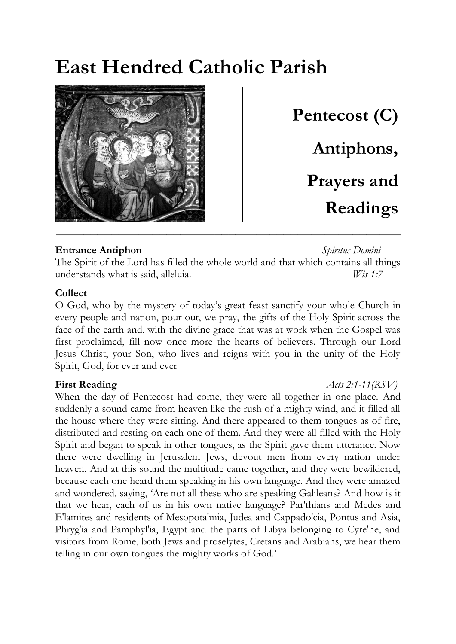# **East Hendred Catholic Parish**



**Pentecost (C) Antiphons, Prayers and Readings**

**Entrance Antiphon** *Spiritus Domini* The Spirit of the Lord has filled the whole world and that which contains all things understands what is said, alleluia. *Wis 1:7*

#### **Collect**

O God, who by the mystery of today's great feast sanctify your whole Church in every people and nation, pour out, we pray, the gifts of the Holy Spirit across the face of the earth and, with the divine grace that was at work when the Gospel was first proclaimed, fill now once more the hearts of believers. Through our Lord Jesus Christ, your Son, who lives and reigns with you in the unity of the Holy Spirit, God, for ever and ever

When the day of Pentecost had come, they were all together in one place. And suddenly a sound came from heaven like the rush of a mighty wind, and it filled all the house where they were sitting. And there appeared to them tongues as of fire, distributed and resting on each one of them. And they were all filled with the Holy Spirit and began to speak in other tongues, as the Spirit gave them utterance. Now there were dwelling in Jerusalem Jews, devout men from every nation under heaven. And at this sound the multitude came together, and they were bewildered, because each one heard them speaking in his own language. And they were amazed and wondered, saying, 'Are not all these who are speaking Galileans? And how is it that we hear, each of us in his own native language? Par'thians and Medes and E'lamites and residents of Mesopota'mia, Judea and Cappado'cia, Pontus and Asia, Phryg'ia and Pamphyl'ia, Egypt and the parts of Libya belonging to Cyre'ne, and visitors from Rome, both Jews and proselytes, Cretans and Arabians, we hear them telling in our own tongues the mighty works of God.'

#### **First Reading** *Acts 2:1-11(RSV)*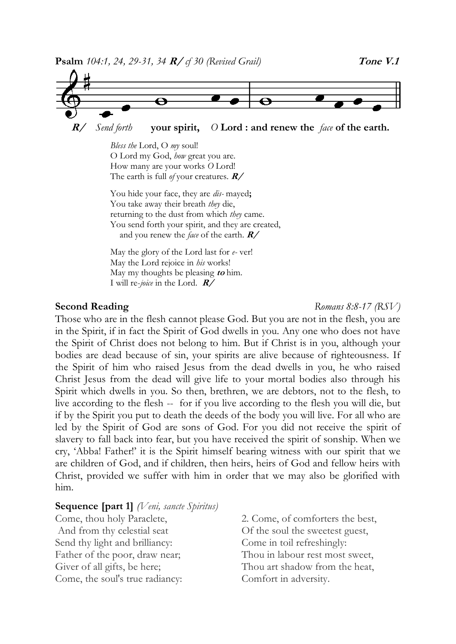

 **R/** *Send forth* **your spirit,** *O* **Lord : and renew the** *face* **of the earth.**

*Bless the* Lord, O *my* soul! O Lord my God, *how* great you are. How many are your works *O* Lord! The earth is full *of* your creatures. **R/**

You hide your face, they are *dis-* mayed**;**  You take away their breath *they* die, returning to the dust from which *they* came. You send forth your spirit, and they are created, and you renew the *face* of the earth. **R/**

May the glory of the Lord last for *e-* ver! May the Lord rejoice in *his* works! May my thoughts be pleasing **to** him. I will re-*joice* in the Lord. **R/**

**Second Reading** *Romans 8:8-17 (RSV)*

Those who are in the flesh cannot please God. But you are not in the flesh, you are in the Spirit, if in fact the Spirit of God dwells in you. Any one who does not have the Spirit of Christ does not belong to him. But if Christ is in you, although your bodies are dead because of sin, your spirits are alive because of righteousness. If the Spirit of him who raised Jesus from the dead dwells in you, he who raised Christ Jesus from the dead will give life to your mortal bodies also through his Spirit which dwells in you. So then, brethren, we are debtors, not to the flesh, to live according to the flesh -- for if you live according to the flesh you will die, but if by the Spirit you put to death the deeds of the body you will live. For all who are led by the Spirit of God are sons of God. For you did not receive the spirit of slavery to fall back into fear, but you have received the spirit of sonship. When we cry, 'Abba! Father!' it is the Spirit himself bearing witness with our spirit that we are children of God, and if children, then heirs, heirs of God and fellow heirs with Christ, provided we suffer with him in order that we may also be glorified with him.

#### **Sequence [part 1]** *(Veni, sancte Spiritus)*

Come, thou holy Paraclete, And from thy celestial seat Send thy light and brilliancy: Father of the poor, draw near; Giver of all gifts, be here; Come, the soul's true radiancy:

2. Come, of comforters the best, Of the soul the sweetest guest, Come in toil refreshingly: Thou in labour rest most sweet, Thou art shadow from the heat, Comfort in adversity.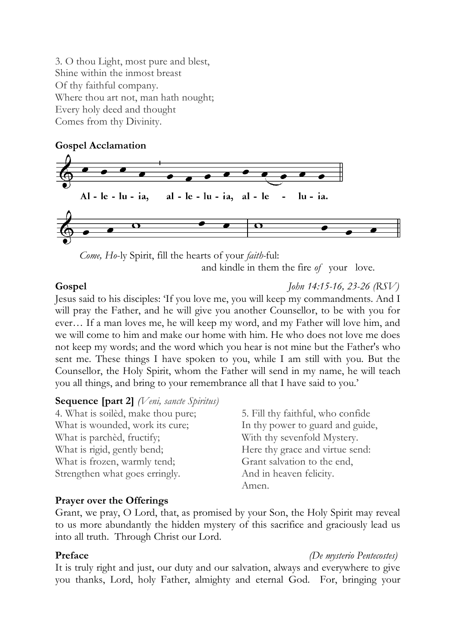3. O thou Light, most pure and blest, Shine within the inmost breast Of thy faithful company. Where thou art not, man hath nought; Every holy deed and thought Comes from thy Divinity.

#### **Gospel Acclamation**



 *Come, Ho*-ly Spirit, fill the hearts of your *faith-*ful:

and kindle in them the fire *of* your love.

**Gospel** *John 14:15-16, 23-26 (RSV)*

Jesus said to his disciples: 'If you love me, you will keep my commandments. And I will pray the Father, and he will give you another Counsellor, to be with you for ever… If a man loves me, he will keep my word, and my Father will love him, and we will come to him and make our home with him. He who does not love me does not keep my words; and the word which you hear is not mine but the Father's who sent me. These things I have spoken to you, while I am still with you. But the Counsellor, the Holy Spirit, whom the Father will send in my name, he will teach you all things, and bring to your remembrance all that I have said to you.'

#### **Sequence [part 2]** *(Veni, sancte Spiritus)*

| 4. What is soiled, make thou pure; | 5. Fill thy faithful, who confide |
|------------------------------------|-----------------------------------|
| What is wounded, work its cure;    | In thy power to guard and guide,  |
| What is parched, fructify;         | With thy sevenfold Mystery.       |
| What is rigid, gently bend;        | Here thy grace and virtue send:   |
| What is frozen, warmly tend;       | Grant salvation to the end,       |
| Strengthen what goes erringly.     | And in heaven felicity.           |
|                                    | Amen.                             |

#### **Prayer over the Offerings**

Grant, we pray, O Lord, that, as promised by your Son, the Holy Spirit may reveal to us more abundantly the hidden mystery of this sacrifice and graciously lead us into all truth. Through Christ our Lord.

#### **Preface** *(De mysterio Pentecostes)*

It is truly right and just, our duty and our salvation, always and everywhere to give you thanks, Lord, holy Father, almighty and eternal God. For, bringing your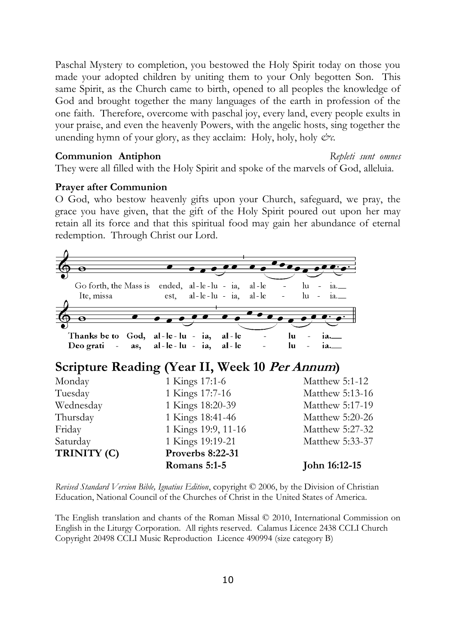Paschal Mystery to completion, you bestowed the Holy Spirit today on those you made your adopted children by uniting them to your Only begotten Son. This same Spirit, as the Church came to birth, opened to all peoples the knowledge of God and brought together the many languages of the earth in profession of the one faith. Therefore, overcome with paschal joy, every land, every people exults in your praise, and even the heavenly Powers, with the angelic hosts, sing together the unending hymn of your glory, as they acclaim: Holy, holy, holy  $\mathcal{C}^{\gamma}$ .

#### **Communion Antiphon** *Repleti sunt omnes*

They were all filled with the Holy Spirit and spoke of the marvels of God, alleluia.

#### **Prayer after Communion**

O God, who bestow heavenly gifts upon your Church, safeguard, we pray, the grace you have given, that the gift of the Holy Spirit poured out upon her may retain all its force and that this spiritual food may gain her abundance of eternal redemption. Through Christ our Lord.

| ө           |                                                                                        |                                 |
|-------------|----------------------------------------------------------------------------------------|---------------------------------|
| Ite, missa  | Go forth, the Mass is ended, al-le-lu - ia, al-le<br>$al-le-lu - ia$ , $al-le$<br>est, | $\ln$<br>1a.<br>$\ln$<br>$1a$ . |
| Θ           | Thanks be to God, al-le-lu - ia, al-le<br>Deo grati - as, al-le-lu - ia, al-le         | lu<br>1a.<br>lu<br>$ia_{-}$     |
|             | Scripture Reading (Year II, Week 10 Per Annum)                                         |                                 |
| Monday      | 1 Kings 17:1-6                                                                         | Matthew 5:1-12                  |
| Tuesday     | 1 Kings 17:7-16                                                                        | Matthew 5:13-16                 |
| Wednesday   | 1 Kings 18:20-39                                                                       | Matthew 5:17-19                 |
| Thursday    | 1 Kings 18:41-46                                                                       | Matthew 5:20-26                 |
| Friday      | 1 Kings 19:9, 11-16                                                                    | Matthew 5:27-32                 |
| Saturday    | 1 Kings 19:19-21                                                                       | Matthew 5:33-37                 |
| TRINITY (C) | <b>Proverbs 8:22-31</b>                                                                |                                 |

*Revised Standard Version Bible, Ignatius Edition*, copyright © 2006, by the Division of Christian Education, National Council of the Churches of Christ in the United States of America.

The English translation and chants of the Roman Missal © 2010, International Commission on English in the Liturgy Corporation. All rights reserved. Calamus Licence 2438 CCLI Church Copyright 20498 CCLI Music Reproduction Licence 490994 (size category B)

**Romans 5:1-5 John 16:12-15**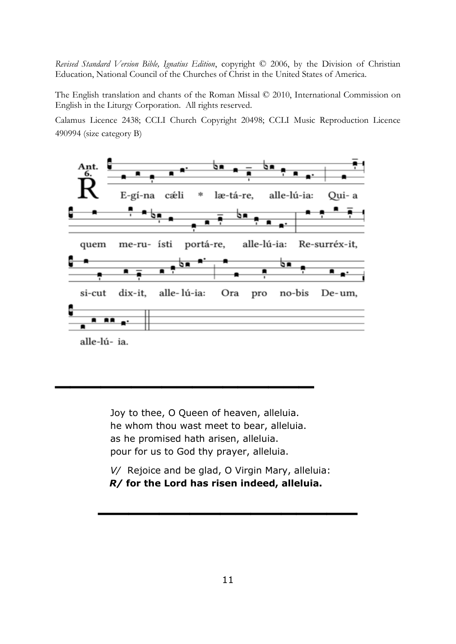*Revised Standard Version Bible, Ignatius Edition*, copyright © 2006, by the Division of Christian Education, National Council of the Churches of Christ in the United States of America.

The English translation and chants of the Roman Missal © 2010, International Commission on English in the Liturgy Corporation. All rights reserved.

Calamus Licence 2438; CCLI Church Copyright 20498; CCLI Music Reproduction Licence 490994 (size category B)



Joy to thee, O Queen of heaven, alleluia. he whom thou wast meet to bear, alleluia. as he promised hath arisen, alleluia. pour for us to God thy prayer, alleluia.

**\_\_\_\_\_\_\_\_\_\_\_\_\_\_\_\_\_**

*V/* Rejoice and be glad, O Virgin Mary, alleluia: *R/* **for the Lord has risen indeed, alleluia.**

**\_\_\_\_\_\_\_\_\_\_\_\_\_\_\_\_\_**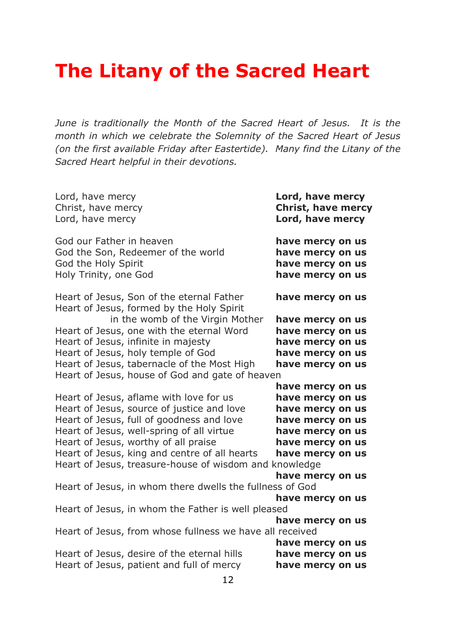# **The Litany of the Sacred Heart**

*June is traditionally the Month of the Sacred Heart of Jesus. It is the month in which we celebrate the Solemnity of the Sacred Heart of Jesus (on the first available Friday after Eastertide). Many find the Litany of the Sacred Heart helpful in their devotions.* 

| Lord, have mercy<br>Christ, have mercy<br>Lord, have mercy                                                     | Lord, have mercy<br><b>Christ, have mercy</b><br>Lord, have mercy            |
|----------------------------------------------------------------------------------------------------------------|------------------------------------------------------------------------------|
| God our Father in heaven<br>God the Son, Redeemer of the world<br>God the Holy Spirit<br>Holy Trinity, one God | have mercy on us<br>have mercy on us<br>have mercy on us<br>have mercy on us |
| Heart of Jesus, Son of the eternal Father<br>Heart of Jesus, formed by the Holy Spirit                         | have mercy on us                                                             |
| in the womb of the Virgin Mother                                                                               | have mercy on us                                                             |
| Heart of Jesus, one with the eternal Word                                                                      | have mercy on us                                                             |
| Heart of Jesus, infinite in majesty<br>Heart of Jesus, holy temple of God                                      | have mercy on us                                                             |
| Heart of Jesus, tabernacle of the Most High                                                                    | have mercy on us<br>have mercy on us                                         |
| Heart of Jesus, house of God and gate of heaven                                                                |                                                                              |
|                                                                                                                | have mercy on us                                                             |
| Heart of Jesus, aflame with love for us                                                                        | have mercy on us                                                             |
| Heart of Jesus, source of justice and love                                                                     | have mercy on us                                                             |
| Heart of Jesus, full of goodness and love                                                                      | have mercy on us                                                             |
| Heart of Jesus, well-spring of all virtue                                                                      | have mercy on us                                                             |
| Heart of Jesus, worthy of all praise                                                                           | have mercy on us                                                             |
| Heart of Jesus, king and centre of all hearts                                                                  | have mercy on us                                                             |
| Heart of Jesus, treasure-house of wisdom and knowledge                                                         |                                                                              |
|                                                                                                                | have mercy on us                                                             |
| Heart of Jesus, in whom there dwells the fullness of God                                                       |                                                                              |
|                                                                                                                | have mercy on us                                                             |
| Heart of Jesus, in whom the Father is well pleased                                                             |                                                                              |
| Heart of Jesus, from whose fullness we have all received                                                       | have mercy on us                                                             |
|                                                                                                                | have mercy on us                                                             |
| Heart of Jesus, desire of the eternal hills<br>Heart of Jesus, patient and full of mercy                       | have mercy on us                                                             |
|                                                                                                                | have mercy on us                                                             |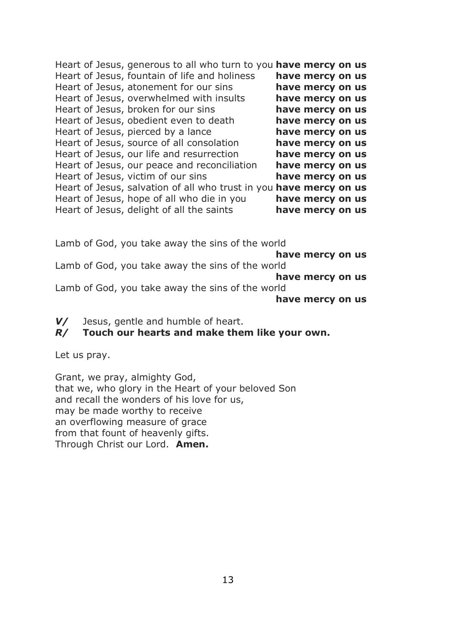| Heart of Jesus, generous to all who turn to you have mercy on us   |                  |  |
|--------------------------------------------------------------------|------------------|--|
| Heart of Jesus, fountain of life and holiness                      | have mercy on us |  |
| Heart of Jesus, atonement for our sins                             | have mercy on us |  |
| Heart of Jesus, overwhelmed with insults                           | have mercy on us |  |
| Heart of Jesus, broken for our sins                                | have mercy on us |  |
| Heart of Jesus, obedient even to death                             | have mercy on us |  |
| Heart of Jesus, pierced by a lance                                 | have mercy on us |  |
| Heart of Jesus, source of all consolation                          | have mercy on us |  |
| Heart of Jesus, our life and resurrection                          | have mercy on us |  |
| Heart of Jesus, our peace and reconciliation                       | have mercy on us |  |
| Heart of Jesus, victim of our sins                                 | have mercy on us |  |
| Heart of Jesus, salvation of all who trust in you have mercy on us |                  |  |
| Heart of Jesus, hope of all who die in you                         | have mercy on us |  |
| Heart of Jesus, delight of all the saints                          | have mercy on us |  |

Lamb of God, you take away the sins of the world

**have mercy on us**

Lamb of God, you take away the sins of the world **have mercy on us** Lamb of God, you take away the sins of the world **have mercy on us**

*V/* Jesus, gentle and humble of heart.

#### *R/* **Touch our hearts and make them like your own.**

Let us pray.

Grant, we pray, almighty God, that we, who glory in the Heart of your beloved Son and recall the wonders of his love for us, may be made worthy to receive an overflowing measure of grace from that fount of heavenly gifts. Through Christ our Lord. **Amen.**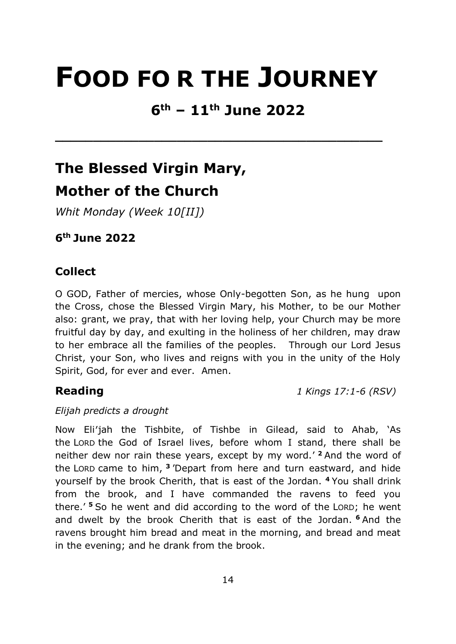# **FOOD FO R THE JOURNEY**

# **6th – 11th June 2022**

**\_\_\_\_\_\_\_\_\_\_\_\_\_\_\_\_\_\_\_\_\_\_\_\_\_\_\_\_\_\_\_\_\_\_\_\_\_\_\_\_\_\_\_** 

# **The Blessed Virgin Mary, Mother of the Church**

*Whit Monday (Week 10[II])* 

**6 th June 2022** 

### **Collect**

O GOD, Father of mercies, whose Only-begotten Son, as he hung upon the Cross, chose the Blessed Virgin Mary, his Mother, to be our Mother also: grant, we pray, that with her loving help, your Church may be more fruitful day by day, and exulting in the holiness of her children, may draw to her embrace all the families of the peoples. Through our Lord Jesus Christ, your Son, who lives and reigns with you in the unity of the Holy Spirit, God, for ever and ever. Amen.

**Reading** *1 Kings 17:1-6 (RSV)*

#### *Elijah predicts a drought*

Now Eli′jah the Tishbite, of Tishbe in Gilead, said to Ahab, 'As the LORD the God of Israel lives, before whom I stand, there shall be neither dew nor rain these years, except by my word.' **<sup>2</sup>** And the word of the LORD came to him, **<sup>3</sup>** 'Depart from here and turn eastward, and hide yourself by the brook Cherith, that is east of the Jordan. **<sup>4</sup>** You shall drink from the brook, and I have commanded the ravens to feed you there.' **<sup>5</sup>** So he went and did according to the word of the LORD; he went and dwelt by the brook Cherith that is east of the Jordan. **<sup>6</sup>** And the ravens brought him bread and meat in the morning, and bread and meat in the evening; and he drank from the brook.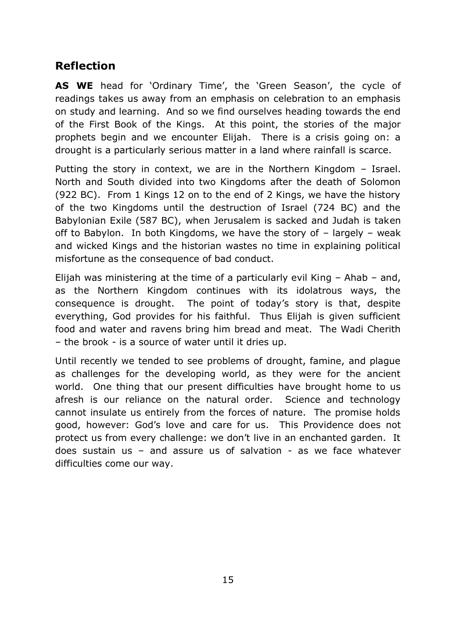### **Reflection**

**AS WE** head for 'Ordinary Time', the 'Green Season', the cycle of readings takes us away from an emphasis on celebration to an emphasis on study and learning. And so we find ourselves heading towards the end of the First Book of the Kings. At this point, the stories of the major prophets begin and we encounter Elijah. There is a crisis going on: a drought is a particularly serious matter in a land where rainfall is scarce.

Putting the story in context, we are in the Northern Kingdom – Israel. North and South divided into two Kingdoms after the death of Solomon (922 BC). From 1 Kings 12 on to the end of 2 Kings, we have the history of the two Kingdoms until the destruction of Israel (724 BC) and the Babylonian Exile (587 BC), when Jerusalem is sacked and Judah is taken off to Babylon. In both Kingdoms, we have the story of – largely – weak and wicked Kings and the historian wastes no time in explaining political misfortune as the consequence of bad conduct.

Elijah was ministering at the time of a particularly evil King – Ahab – and, as the Northern Kingdom continues with its idolatrous ways, the consequence is drought. The point of today's story is that, despite everything, God provides for his faithful. Thus Elijah is given sufficient food and water and ravens bring him bread and meat. The Wadi Cherith – the brook - is a source of water until it dries up.

Until recently we tended to see problems of drought, famine, and plague as challenges for the developing world, as they were for the ancient world. One thing that our present difficulties have brought home to us afresh is our reliance on the natural order. Science and technology cannot insulate us entirely from the forces of nature. The promise holds good, however: God's love and care for us. This Providence does not protect us from every challenge: we don't live in an enchanted garden. It does sustain us – and assure us of salvation - as we face whatever difficulties come our way.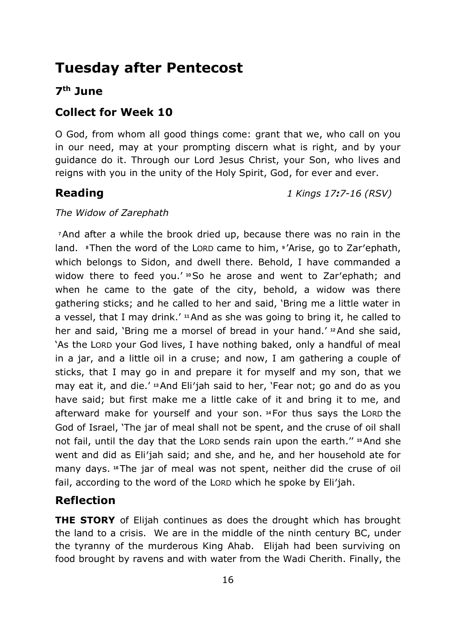## **Tuesday after Pentecost**

### **7 th June**

### **Collect for Week 10**

O God, from whom all good things come: grant that we, who call on you in our need, may at your prompting discern what is right, and by your guidance do it. Through our Lord Jesus Christ, your Son, who lives and reigns with you in the unity of the Holy Spirit, God, for ever and ever.

**Reading** *1 Kings 17:7-16 (RSV)*

#### *The Widow of Zarephath*

**<sup>7</sup>**And after a while the brook dried up, because there was no rain in the land. **8**Then the word of the LORD came to him, **<sup>9</sup>** 'Arise, go to Zar′ephath, which belongs to Sidon, and dwell there. Behold, I have commanded a widow there to feed you.'<sup>10</sup>So he arose and went to Zar'ephath; and when he came to the gate of the city, behold, a widow was there gathering sticks; and he called to her and said, 'Bring me a little water in a vessel, that I may drink.' **<sup>11</sup>**And as she was going to bring it, he called to her and said, 'Bring me a morsel of bread in your hand.' **<sup>12</sup>**And she said, 'As the LORD your God lives, I have nothing baked, only a handful of meal in a jar, and a little oil in a cruse; and now, I am gathering a couple of sticks, that I may go in and prepare it for myself and my son, that we may eat it, and die.' **<sup>13</sup>**And Eli′jah said to her, 'Fear not; go and do as you have said; but first make me a little cake of it and bring it to me, and afterward make for yourself and your son. **<sup>14</sup>**For thus says the LORD the God of Israel, 'The jar of meal shall not be spent, and the cruse of oil shall not fail, until the day that the LORD sends rain upon the earth.'' **<sup>15</sup>**And she went and did as Eli′jah said; and she, and he, and her household ate for many days. **<sup>16</sup>**The jar of meal was not spent, neither did the cruse of oil fail, according to the word of the LORD which he spoke by Eli′jah.

### **Reflection**

**THE STORY** of Elijah continues as does the drought which has brought the land to a crisis. We are in the middle of the ninth century BC, under the tyranny of the murderous King Ahab. Elijah had been surviving on food brought by ravens and with water from the Wadi Cherith. Finally, the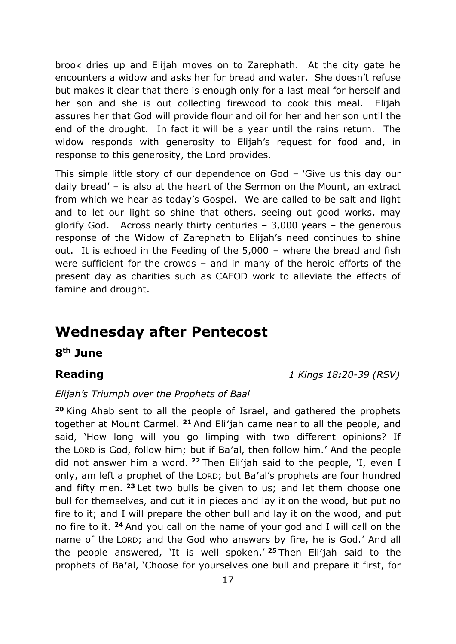brook dries up and Elijah moves on to Zarephath. At the city gate he encounters a widow and asks her for bread and water. She doesn't refuse but makes it clear that there is enough only for a last meal for herself and her son and she is out collecting firewood to cook this meal. Elijah assures her that God will provide flour and oil for her and her son until the end of the drought. In fact it will be a year until the rains return. The widow responds with generosity to Elijah's request for food and, in response to this generosity, the Lord provides.

This simple little story of our dependence on God – 'Give us this day our daily bread' – is also at the heart of the Sermon on the Mount, an extract from which we hear as today's Gospel. We are called to be salt and light and to let our light so shine that others, seeing out good works, may glorify God. Across nearly thirty centuries – 3,000 years – the generous response of the Widow of Zarephath to Elijah's need continues to shine out. It is echoed in the Feeding of the 5,000 – where the bread and fish were sufficient for the crowds – and in many of the heroic efforts of the present day as charities such as CAFOD work to alleviate the effects of famine and drought.

## **Wednesday after Pentecost**

**8 th June**

**Reading** *1 Kings 18:20-39 (RSV)*

#### *Elijah's Triumph over the Prophets of Baal*

**<sup>20</sup>** King Ahab sent to all the people of Israel, and gathered the prophets together at Mount Carmel. **<sup>21</sup>** And Eli′jah came near to all the people, and said, 'How long will you go limping with two different opinions? If the LORD is God, follow him; but if Ba′al, then follow him.' And the people did not answer him a word. **<sup>22</sup>** Then Eli′jah said to the people, 'I, even I only, am left a prophet of the LORD; but Ba′al's prophets are four hundred and fifty men. **<sup>23</sup>** Let two bulls be given to us; and let them choose one bull for themselves, and cut it in pieces and lay it on the wood, but put no fire to it; and I will prepare the other bull and lay it on the wood, and put no fire to it. **<sup>24</sup>** And you call on the name of your god and I will call on the name of the LORD; and the God who answers by fire, he is God.' And all the people answered, 'It is well spoken.' **<sup>25</sup>** Then Eli′jah said to the prophets of Ba′al, 'Choose for yourselves one bull and prepare it first, for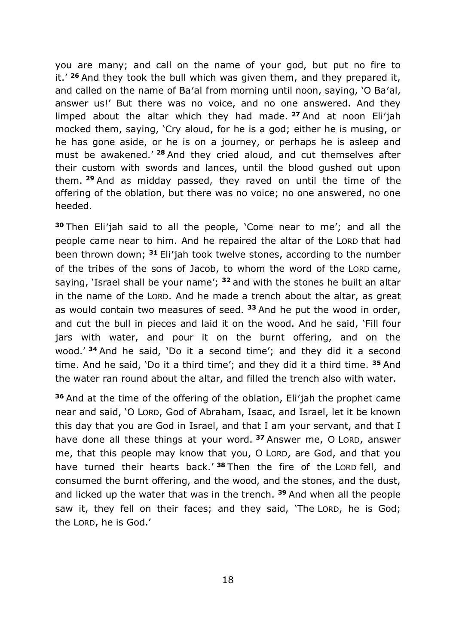you are many; and call on the name of your god, but put no fire to it.' **<sup>26</sup>** And they took the bull which was given them, and they prepared it, and called on the name of Ba′al from morning until noon, saying, 'O Ba′al, answer us!' But there was no voice, and no one answered. And they limped about the altar which they had made. **<sup>27</sup>** And at noon Eli′jah mocked them, saying, 'Cry aloud, for he is a god; either he is musing, or he has gone aside, or he is on a journey, or perhaps he is asleep and must be awakened.' **<sup>28</sup>** And they cried aloud, and cut themselves after their custom with swords and lances, until the blood gushed out upon them. **<sup>29</sup>** And as midday passed, they raved on until the time of the offering of the oblation, but there was no voice; no one answered, no one heeded.

**<sup>30</sup>** Then Eli′jah said to all the people, 'Come near to me'; and all the people came near to him. And he repaired the altar of the LORD that had been thrown down; **<sup>31</sup>** Eli′jah took twelve stones, according to the number of the tribes of the sons of Jacob, to whom the word of the LORD came, saying, 'Israel shall be your name'; **<sup>32</sup>** and with the stones he built an altar in the name of the LORD. And he made a trench about the altar, as great as would contain two measures of seed. **<sup>33</sup>** And he put the wood in order, and cut the bull in pieces and laid it on the wood. And he said, 'Fill four jars with water, and pour it on the burnt offering, and on the wood.' **<sup>34</sup>** And he said, 'Do it a second time'; and they did it a second time. And he said, 'Do it a third time'; and they did it a third time. **<sup>35</sup>** And the water ran round about the altar, and filled the trench also with water.

**<sup>36</sup>** And at the time of the offering of the oblation, Eli′jah the prophet came near and said, 'O LORD, God of Abraham, Isaac, and Israel, let it be known this day that you are God in Israel, and that I am your servant, and that I have done all these things at your word. **<sup>37</sup>** Answer me, O LORD, answer me, that this people may know that you, O LORD, are God, and that you have turned their hearts back.' **<sup>38</sup>** Then the fire of the LORD fell, and consumed the burnt offering, and the wood, and the stones, and the dust, and licked up the water that was in the trench. **<sup>39</sup>** And when all the people saw it, they fell on their faces; and they said, 'The LORD, he is God; the LORD, he is God.'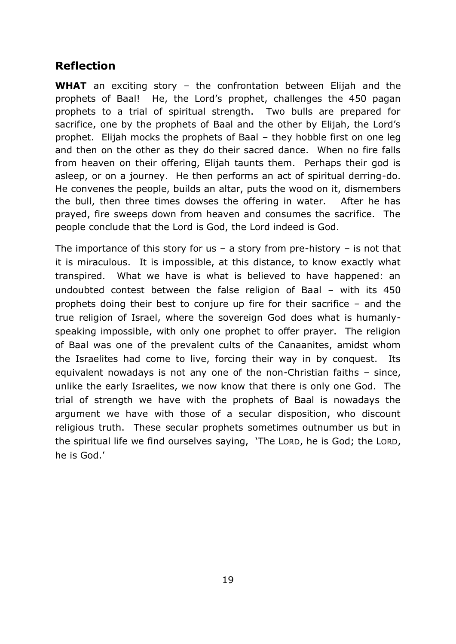### **Reflection**

**WHAT** an exciting story – the confrontation between Elijah and the prophets of Baal! He, the Lord's prophet, challenges the 450 pagan prophets to a trial of spiritual strength. Two bulls are prepared for sacrifice, one by the prophets of Baal and the other by Elijah, the Lord's prophet. Elijah mocks the prophets of Baal – they hobble first on one leg and then on the other as they do their sacred dance. When no fire falls from heaven on their offering, Elijah taunts them. Perhaps their god is asleep, or on a journey. He then performs an act of spiritual derring-do. He convenes the people, builds an altar, puts the wood on it, dismembers the bull, then three times dowses the offering in water. After he has prayed, fire sweeps down from heaven and consumes the sacrifice. The people conclude that the Lord is God, the Lord indeed is God.

The importance of this story for us – a story from pre-history – is not that it is miraculous. It is impossible, at this distance, to know exactly what transpired. What we have is what is believed to have happened: an undoubted contest between the false religion of Baal – with its 450 prophets doing their best to conjure up fire for their sacrifice – and the true religion of Israel, where the sovereign God does what is humanlyspeaking impossible, with only one prophet to offer prayer. The religion of Baal was one of the prevalent cults of the Canaanites, amidst whom the Israelites had come to live, forcing their way in by conquest. equivalent nowadays is not any one of the non-Christian faiths – since, unlike the early Israelites, we now know that there is only one God. The trial of strength we have with the prophets of Baal is nowadays the argument we have with those of a secular disposition, who discount religious truth. These secular prophets sometimes outnumber us but in the spiritual life we find ourselves saying, 'The LORD, he is God; the LORD, he is God.'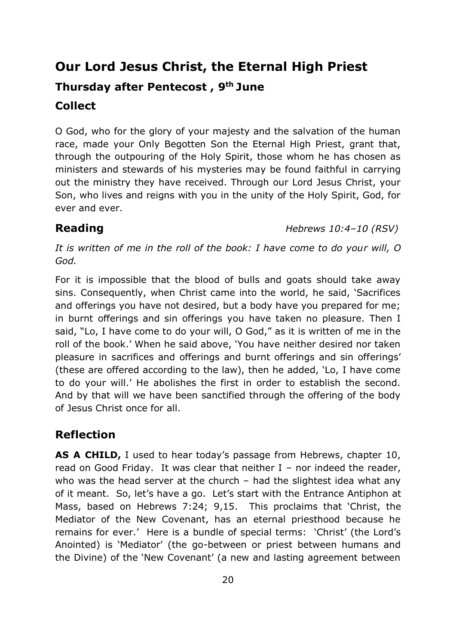# **Our Lord Jesus Christ, the Eternal High Priest Thursday after Pentecost , 9 th June Collect**

O God, who for the glory of your majesty and the salvation of the human race, made your Only Begotten Son the Eternal High Priest, grant that, through the outpouring of the Holy Spirit, those whom he has chosen as ministers and stewards of his mysteries may be found faithful in carrying out the ministry they have received. Through our Lord Jesus Christ, your Son, who lives and reigns with you in the unity of the Holy Spirit, God, for ever and ever.

**Reading** *Hebrews 10:4–10 (RSV)*

*It is written of me in the roll of the book: I have come to do your will, O God.*

For it is impossible that the blood of bulls and goats should take away sins. Consequently, when Christ came into the world, he said, 'Sacrifices and offerings you have not desired, but a body have you prepared for me; in burnt offerings and sin offerings you have taken no pleasure. Then I said, "Lo, I have come to do your will, O God," as it is written of me in the roll of the book.' When he said above, 'You have neither desired nor taken pleasure in sacrifices and offerings and burnt offerings and sin offerings' (these are offered according to the law), then he added, 'Lo, I have come to do your will.' He abolishes the first in order to establish the second. And by that will we have been sanctified through the offering of the body of Jesus Christ once for all.

### **Reflection**

**AS A CHILD,** I used to hear today's passage from Hebrews, chapter 10, read on Good Friday. It was clear that neither  $I$  – nor indeed the reader, who was the head server at the church – had the slightest idea what any of it meant. So, let's have a go. Let's start with the Entrance Antiphon at Mass, based on Hebrews 7:24; 9,15. This proclaims that 'Christ, the Mediator of the New Covenant, has an eternal priesthood because he remains for ever.' Here is a bundle of special terms: 'Christ' (the Lord's Anointed) is 'Mediator' (the go-between or priest between humans and the Divine) of the 'New Covenant' (a new and lasting agreement between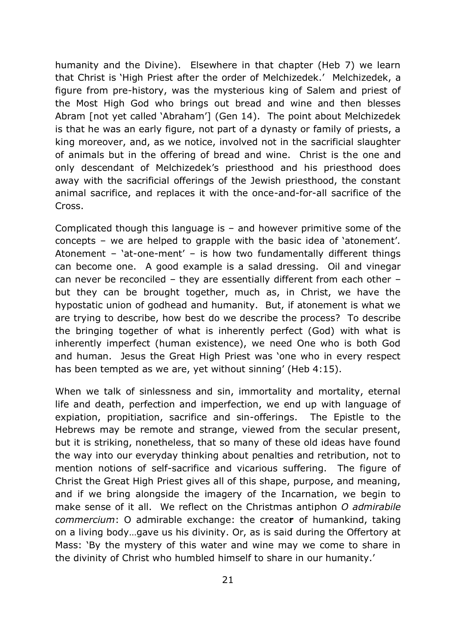humanity and the Divine). Elsewhere in that chapter (Heb 7) we learn that Christ is 'High Priest after the order of Melchizedek.' Melchizedek, a figure from pre-history, was the mysterious king of Salem and priest of the Most High God who brings out bread and wine and then blesses Abram [not yet called 'Abraham'] (Gen 14). The point about Melchizedek is that he was an early figure, not part of a dynasty or family of priests, a king moreover, and, as we notice, involved not in the sacrificial slaughter of animals but in the offering of bread and wine. Christ is the one and only descendant of Melchizedek's priesthood and his priesthood does away with the sacrificial offerings of the Jewish priesthood, the constant animal sacrifice, and replaces it with the once-and-for-all sacrifice of the Cross.

Complicated though this language is – and however primitive some of the concepts – we are helped to grapple with the basic idea of 'atonement'. Atonement – 'at-one-ment' – is how two fundamentally different things can become one. A good example is a salad dressing. Oil and vinegar can never be reconciled – they are essentially different from each other – but they can be brought together, much as, in Christ, we have the hypostatic union of godhead and humanity. But, if atonement is what we are trying to describe, how best do we describe the process? To describe the bringing together of what is inherently perfect (God) with what is inherently imperfect (human existence), we need One who is both God and human. Jesus the Great High Priest was 'one who in every respect has been tempted as we are, yet without sinning' (Heb 4:15).

When we talk of sinlessness and sin, immortality and mortality, eternal life and death, perfection and imperfection, we end up with language of expiation, propitiation, sacrifice and sin-offerings. The Epistle to the Hebrews may be remote and strange, viewed from the secular present, but it is striking, nonetheless, that so many of these old ideas have found the way into our everyday thinking about penalties and retribution, not to mention notions of self-sacrifice and vicarious suffering. The figure of Christ the Great High Priest gives all of this shape, purpose, and meaning, and if we bring alongside the imagery of the Incarnation, we begin to make sense of it all. We reflect on the Christmas antiphon *O admirabile commercium*: O admirable exchange: the creato**r** of humankind, taking on a living body…gave us his divinity. Or, as is said during the Offertory at Mass: 'By the mystery of this water and wine may we come to share in the divinity of Christ who humbled himself to share in our humanity.'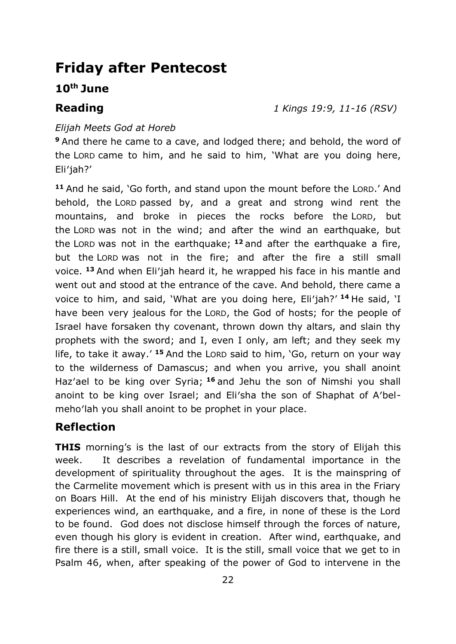## **Friday after Pentecost**

#### **10th June**

**Reading** *1 Kings 19:9, 11-16 (RSV)*

#### *Elijah Meets God at Horeb*

**<sup>9</sup>** And there he came to a cave, and lodged there; and behold, the word of the LORD came to him, and he said to him, 'What are you doing here, Eli′jah?'

**<sup>11</sup>** And he said, 'Go forth, and stand upon the mount before the LORD.' And behold, the LORD passed by, and a great and strong wind rent the mountains, and broke in pieces the rocks before the LORD, but the LORD was not in the wind; and after the wind an earthquake, but the LORD was not in the earthquake; **<sup>12</sup>** and after the earthquake a fire, but the LORD was not in the fire; and after the fire a still small voice. **<sup>13</sup>** And when Eli′jah heard it, he wrapped his face in his mantle and went out and stood at the entrance of the cave. And behold, there came a voice to him, and said, 'What are you doing here, Eli′jah?' **<sup>14</sup>** He said, 'I have been very jealous for the LORD, the God of hosts; for the people of Israel have forsaken thy covenant, thrown down thy altars, and slain thy prophets with the sword; and I, even I only, am left; and they seek my life, to take it away.' <sup>15</sup> And the LORD said to him, 'Go, return on your way to the wilderness of Damascus; and when you arrive, you shall anoint Haz′ael to be king over Syria; **<sup>16</sup>** and Jehu the son of Nimshi you shall anoint to be king over Israel; and Eli′sha the son of Shaphat of A′belmeho′lah you shall anoint to be prophet in your place.

#### **Reflection**

**THIS** morning's is the last of our extracts from the story of Elijah this week. It describes a revelation of fundamental importance in the development of spirituality throughout the ages. It is the mainspring of the Carmelite movement which is present with us in this area in the Friary on Boars Hill. At the end of his ministry Elijah discovers that, though he experiences wind, an earthquake, and a fire, in none of these is the Lord to be found. God does not disclose himself through the forces of nature, even though his glory is evident in creation. After wind, earthquake, and fire there is a still, small voice. It is the still, small voice that we get to in Psalm 46, when, after speaking of the power of God to intervene in the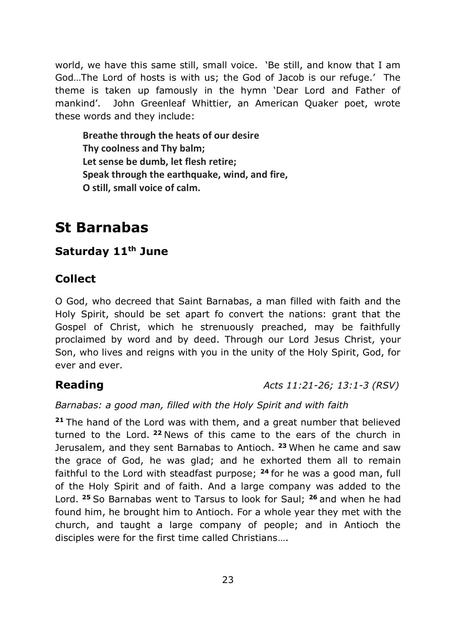world, we have this same still, small voice. 'Be still, and know that I am God…The Lord of hosts is with us; the God of Jacob is our refuge.' The theme is taken up famously in the hymn 'Dear Lord and Father of mankind'. John Greenleaf Whittier, an American Quaker poet, wrote these words and they include:

**Breathe through the heats of our desire Thy coolness and Thy balm; Let sense be dumb, let flesh retire; Speak through the earthquake, wind, and fire, O still, small voice of calm.**

# **St Barnabas**

### **Saturday 11th June**

### **Collect**

O God, who decreed that Saint Barnabas, a man filled with faith and the Holy Spirit, should be set apart fo convert the nations: grant that the Gospel of Christ, which he strenuously preached, may be faithfully proclaimed by word and by deed. Through our Lord Jesus Christ, your Son, who lives and reigns with you in the unity of the Holy Spirit, God, for ever and ever.

**Reading** *Acts 11:21-26; 13:1-3 (RSV)*

#### *Barnabas: a good man, filled with the Holy Spirit and with faith*

**<sup>21</sup>** The hand of the Lord was with them, and a great number that believed turned to the Lord. **<sup>22</sup>** News of this came to the ears of the church in Jerusalem, and they sent Barnabas to Antioch. **<sup>23</sup>** When he came and saw the grace of God, he was glad; and he exhorted them all to remain faithful to the Lord with steadfast purpose; **<sup>24</sup>** for he was a good man, full of the Holy Spirit and of faith. And a large company was added to the Lord. **<sup>25</sup>** So Barnabas went to Tarsus to look for Saul; **<sup>26</sup>** and when he had found him, he brought him to Antioch. For a whole year they met with the church, and taught a large company of people; and in Antioch the disciples were for the first time called Christians….